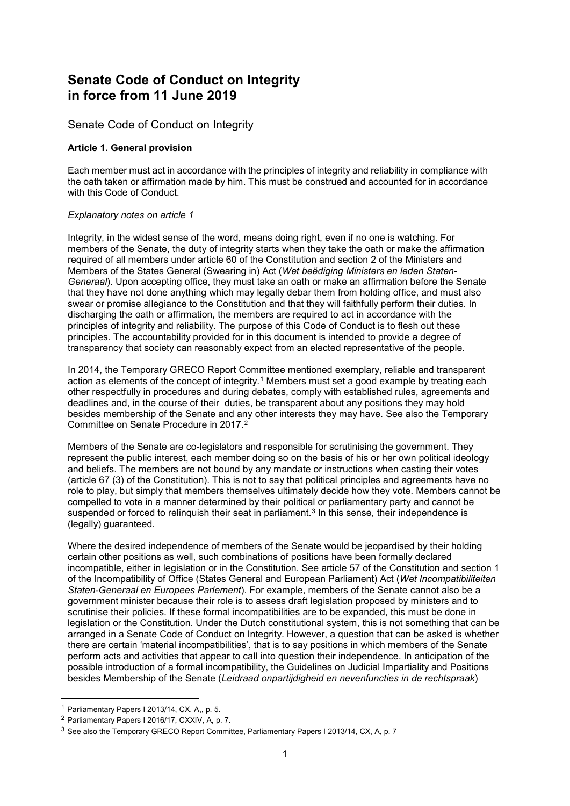# **Senate Code of Conduct on Integrity in force from 11 June 2019**

## Senate Code of Conduct on Integrity

## **Article 1. General provision**

Each member must act in accordance with the principles of integrity and reliability in compliance with the oath taken or affirmation made by him. This must be construed and accounted for in accordance with this Code of Conduct.

## *Explanatory notes on article 1*

Integrity, in the widest sense of the word, means doing right, even if no one is watching. For members of the Senate, the duty of integrity starts when they take the oath or make the affirmation required of all members under article 60 of the Constitution and section 2 of the Ministers and Members of the States General (Swearing in) Act (*Wet beëdiging Ministers en leden Staten-Generaal*). Upon accepting office, they must take an oath or make an affirmation before the Senate that they have not done anything which may legally debar them from holding office, and must also swear or promise allegiance to the Constitution and that they will faithfully perform their duties. In discharging the oath or affirmation, the members are required to act in accordance with the principles of integrity and reliability. The purpose of this Code of Conduct is to flesh out these principles. The accountability provided for in this document is intended to provide a degree of transparency that society can reasonably expect from an elected representative of the people.

In 2014, the Temporary GRECO Report Committee mentioned exemplary, reliable and transparent action as elements of the concept of integrity.<sup>[1](#page-0-0)</sup> Members must set a good example by treating each other respectfully in procedures and during debates, comply with established rules, agreements and deadlines and, in the course of their duties, be transparent about any positions they may hold besides membership of the Senate and any other interests they may have. See also the Temporary Committee on Senate Procedure in 2017.[2](#page-0-1)

Members of the Senate are co-legislators and responsible for scrutinising the government. They represent the public interest, each member doing so on the basis of his or her own political ideology and beliefs. The members are not bound by any mandate or instructions when casting their votes (article 67 (3) of the Constitution). This is not to say that political principles and agreements have no role to play, but simply that members themselves ultimately decide how they vote. Members cannot be compelled to vote in a manner determined by their political or parliamentary party and cannot be suspended or forced to relinguish their seat in parliament.<sup>[3](#page-0-2)</sup> In this sense, their independence is (legally) guaranteed.

Where the desired independence of members of the Senate would be jeopardised by their holding certain other positions as well, such combinations of positions have been formally declared incompatible, either in legislation or in the Constitution. See article 57 of the Constitution and section 1 of the Incompatibility of Office (States General and European Parliament) Act (*Wet Incompatibiliteiten Staten-Generaal en Europees Parlement*). For example, members of the Senate cannot also be a government minister because their role is to assess draft legislation proposed by ministers and to scrutinise their policies. If these formal incompatibilities are to be expanded, this must be done in legislation or the Constitution. Under the Dutch constitutional system, this is not something that can be arranged in a Senate Code of Conduct on Integrity. However, a question that can be asked is whether there are certain 'material incompatibilities', that is to say positions in which members of the Senate perform acts and activities that appear to call into question their independence. In anticipation of the possible introduction of a formal incompatibility, the Guidelines on Judicial Impartiality and Positions besides Membership of the Senate (*Leidraad onpartijdigheid en nevenfuncties in de rechtspraak*)

<span id="page-0-0"></span> $<sup>1</sup>$  Parliamentary Papers I 2013/14, CX, A,, p. 5.</sup>

<span id="page-0-1"></span><sup>2</sup> Parliamentary Papers I 2016/17, CXXIV, A, p. 7.

<span id="page-0-2"></span><sup>3</sup> See also the Temporary GRECO Report Committee, Parliamentary Papers I 2013/14, CX, A, p. 7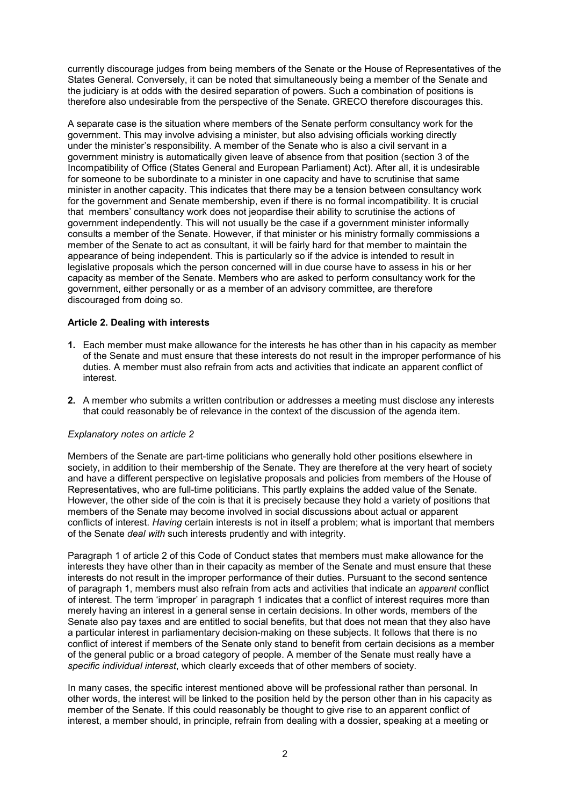currently discourage judges from being members of the Senate or the House of Representatives of the States General. Conversely, it can be noted that simultaneously being a member of the Senate and the judiciary is at odds with the desired separation of powers. Such a combination of positions is therefore also undesirable from the perspective of the Senate. GRECO therefore discourages this.

A separate case is the situation where members of the Senate perform consultancy work for the government. This may involve advising a minister, but also advising officials working directly under the minister's responsibility. A member of the Senate who is also a civil servant in a government ministry is automatically given leave of absence from that position (section 3 of the Incompatibility of Office (States General and European Parliament) Act). After all, it is undesirable for someone to be subordinate to a minister in one capacity and have to scrutinise that same minister in another capacity. This indicates that there may be a tension between consultancy work for the government and Senate membership, even if there is no formal incompatibility. It is crucial that members' consultancy work does not jeopardise their ability to scrutinise the actions of government independently. This will not usually be the case if a government minister informally consults a member of the Senate. However, if that minister or his ministry formally commissions a member of the Senate to act as consultant, it will be fairly hard for that member to maintain the appearance of being independent. This is particularly so if the advice is intended to result in legislative proposals which the person concerned will in due course have to assess in his or her capacity as member of the Senate. Members who are asked to perform consultancy work for the government, either personally or as a member of an advisory committee, are therefore discouraged from doing so.

## **Article 2. Dealing with interests**

- **1.** Each member must make allowance for the interests he has other than in his capacity as member of the Senate and must ensure that these interests do not result in the improper performance of his duties. A member must also refrain from acts and activities that indicate an apparent conflict of interest.
- **2.** A member who submits a written contribution or addresses a meeting must disclose any interests that could reasonably be of relevance in the context of the discussion of the agenda item.

#### *Explanatory notes on article 2*

Members of the Senate are part-time politicians who generally hold other positions elsewhere in society, in addition to their membership of the Senate. They are therefore at the very heart of society and have a different perspective on legislative proposals and policies from members of the House of Representatives, who are full-time politicians. This partly explains the added value of the Senate. However, the other side of the coin is that it is precisely because they hold a variety of positions that members of the Senate may become involved in social discussions about actual or apparent conflicts of interest. *Having* certain interests is not in itself a problem; what is important that members of the Senate *deal with* such interests prudently and with integrity.

Paragraph 1 of article 2 of this Code of Conduct states that members must make allowance for the interests they have other than in their capacity as member of the Senate and must ensure that these interests do not result in the improper performance of their duties. Pursuant to the second sentence of paragraph 1, members must also refrain from acts and activities that indicate an *apparent* conflict of interest. The term 'improper' in paragraph 1 indicates that a conflict of interest requires more than merely having an interest in a general sense in certain decisions. In other words, members of the Senate also pay taxes and are entitled to social benefits, but that does not mean that they also have a particular interest in parliamentary decision-making on these subjects. It follows that there is no conflict of interest if members of the Senate only stand to benefit from certain decisions as a member of the general public or a broad category of people. A member of the Senate must really have a *specific individual interest*, which clearly exceeds that of other members of society.

In many cases, the specific interest mentioned above will be professional rather than personal. In other words, the interest will be linked to the position held by the person other than in his capacity as member of the Senate. If this could reasonably be thought to give rise to an apparent conflict of interest, a member should, in principle, refrain from dealing with a dossier, speaking at a meeting or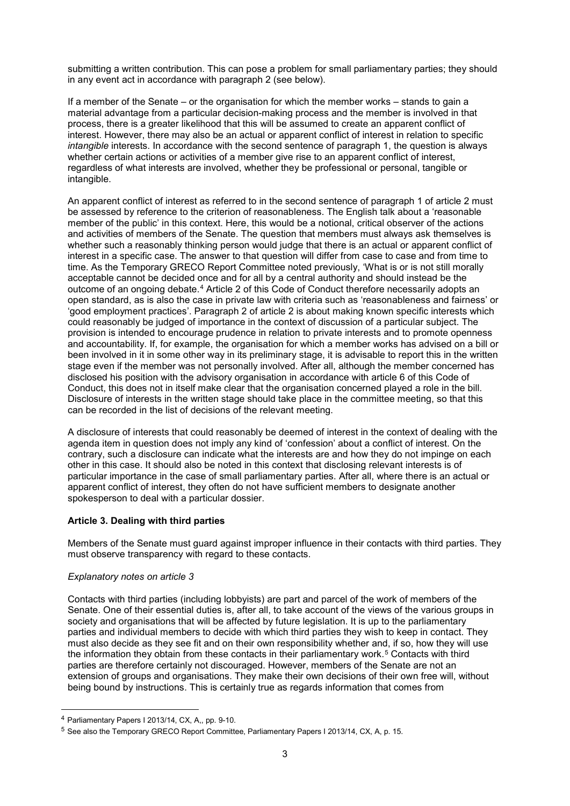submitting a written contribution. This can pose a problem for small parliamentary parties; they should in any event act in accordance with paragraph 2 (see below).

If a member of the Senate – or the organisation for which the member works – stands to gain a material advantage from a particular decision-making process and the member is involved in that process, there is a greater likelihood that this will be assumed to create an apparent conflict of interest. However, there may also be an actual or apparent conflict of interest in relation to specific *intangible* interests. In accordance with the second sentence of paragraph 1, the question is always whether certain actions or activities of a member give rise to an apparent conflict of interest, regardless of what interests are involved, whether they be professional or personal, tangible or intangible.

An apparent conflict of interest as referred to in the second sentence of paragraph 1 of article 2 must be assessed by reference to the criterion of reasonableness. The English talk about a 'reasonable member of the public' in this context. Here, this would be a notional, critical observer of the actions and activities of members of the Senate. The question that members must always ask themselves is whether such a reasonably thinking person would judge that there is an actual or apparent conflict of interest in a specific case. The answer to that question will differ from case to case and from time to time. As the Temporary GRECO Report Committee noted previously, 'What is or is not still morally acceptable cannot be decided once and for all by a central authority and should instead be the outcome of an ongoing debate.[4](#page-2-0) Article 2 of this Code of Conduct therefore necessarily adopts an open standard, as is also the case in private law with criteria such as 'reasonableness and fairness' or 'good employment practices'. Paragraph 2 of article 2 is about making known specific interests which could reasonably be judged of importance in the context of discussion of a particular subject. The provision is intended to encourage prudence in relation to private interests and to promote openness and accountability. If, for example, the organisation for which a member works has advised on a bill or been involved in it in some other way in its preliminary stage, it is advisable to report this in the written stage even if the member was not personally involved. After all, although the member concerned has disclosed his position with the advisory organisation in accordance with article 6 of this Code of Conduct, this does not in itself make clear that the organisation concerned played a role in the bill. Disclosure of interests in the written stage should take place in the committee meeting, so that this can be recorded in the list of decisions of the relevant meeting.

A disclosure of interests that could reasonably be deemed of interest in the context of dealing with the agenda item in question does not imply any kind of 'confession' about a conflict of interest. On the contrary, such a disclosure can indicate what the interests are and how they do not impinge on each other in this case. It should also be noted in this context that disclosing relevant interests is of particular importance in the case of small parliamentary parties. After all, where there is an actual or apparent conflict of interest, they often do not have sufficient members to designate another spokesperson to deal with a particular dossier.

## **Article 3. Dealing with third parties**

Members of the Senate must guard against improper influence in their contacts with third parties. They must observe transparency with regard to these contacts.

#### *Explanatory notes on article 3*

Contacts with third parties (including lobbyists) are part and parcel of the work of members of the Senate. One of their essential duties is, after all, to take account of the views of the various groups in society and organisations that will be affected by future legislation. It is up to the parliamentary parties and individual members to decide with which third parties they wish to keep in contact. They must also decide as they see fit and on their own responsibility whether and, if so, how they will use the information they obtain from these contacts in their parliamentary work.<sup>[5](#page-2-1)</sup> Contacts with third parties are therefore certainly not discouraged. However, members of the Senate are not an extension of groups and organisations. They make their own decisions of their own free will, without being bound by instructions. This is certainly true as regards information that comes from

<span id="page-2-0"></span> <sup>4</sup> Parliamentary Papers I 2013/14, CX, A,, pp. 9-10.

<span id="page-2-1"></span><sup>&</sup>lt;sup>5</sup> See also the Temporary GRECO Report Committee, Parliamentary Papers I 2013/14, CX, A, p. 15.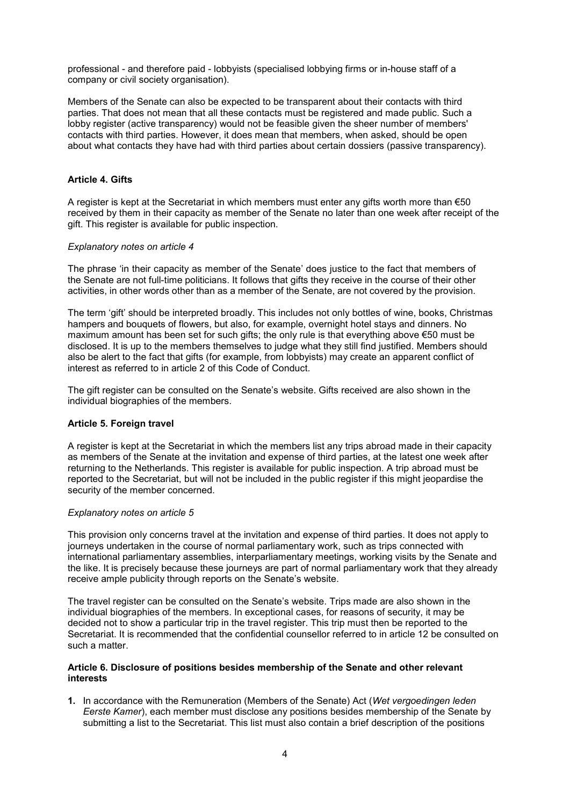professional - and therefore paid - lobbyists (specialised lobbying firms or in-house staff of a company or civil society organisation).

Members of the Senate can also be expected to be transparent about their contacts with third parties. That does not mean that all these contacts must be registered and made public. Such a lobby register (active transparency) would not be feasible given the sheer number of members' contacts with third parties. However, it does mean that members, when asked, should be open about what contacts they have had with third parties about certain dossiers (passive transparency).

#### **Article 4. Gifts**

A register is kept at the Secretariat in which members must enter any gifts worth more than  $€50$ received by them in their capacity as member of the Senate no later than one week after receipt of the gift. This register is available for public inspection.

#### *Explanatory notes on article 4*

The phrase 'in their capacity as member of the Senate' does justice to the fact that members of the Senate are not full-time politicians. It follows that gifts they receive in the course of their other activities, in other words other than as a member of the Senate, are not covered by the provision.

The term 'gift' should be interpreted broadly. This includes not only bottles of wine, books, Christmas hampers and bouquets of flowers, but also, for example, overnight hotel stays and dinners. No maximum amount has been set for such gifts; the only rule is that everything above €50 must be disclosed. It is up to the members themselves to judge what they still find justified. Members should also be alert to the fact that gifts (for example, from lobbyists) may create an apparent conflict of interest as referred to in article 2 of this Code of Conduct.

The gift register can be consulted on the Senate's website. Gifts received are also shown in the individual biographies of the members.

## **Article 5. Foreign travel**

A register is kept at the Secretariat in which the members list any trips abroad made in their capacity as members of the Senate at the invitation and expense of third parties, at the latest one week after returning to the Netherlands. This register is available for public inspection. A trip abroad must be reported to the Secretariat, but will not be included in the public register if this might jeopardise the security of the member concerned.

#### *Explanatory notes on article 5*

This provision only concerns travel at the invitation and expense of third parties. It does not apply to journeys undertaken in the course of normal parliamentary work, such as trips connected with international parliamentary assemblies, interparliamentary meetings, working visits by the Senate and the like. It is precisely because these journeys are part of normal parliamentary work that they already receive ample publicity through reports on the Senate's website.

The travel register can be consulted on the Senate's website. Trips made are also shown in the individual biographies of the members. In exceptional cases, for reasons of security, it may be decided not to show a particular trip in the travel register. This trip must then be reported to the Secretariat. It is recommended that the confidential counsellor referred to in article 12 be consulted on such a matter.

#### **Article 6. Disclosure of positions besides membership of the Senate and other relevant interests**

**1.** In accordance with the Remuneration (Members of the Senate) Act (*Wet vergoedingen leden Eerste Kamer*), each member must disclose any positions besides membership of the Senate by submitting a list to the Secretariat. This list must also contain a brief description of the positions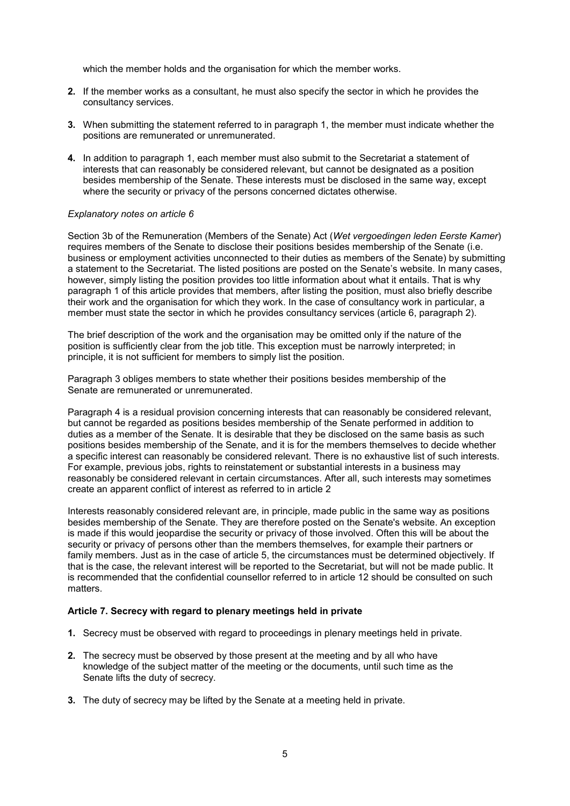which the member holds and the organisation for which the member works.

- **2.** If the member works as a consultant, he must also specify the sector in which he provides the consultancy services.
- **3.** When submitting the statement referred to in paragraph 1, the member must indicate whether the positions are remunerated or unremunerated.
- **4.** In addition to paragraph 1, each member must also submit to the Secretariat a statement of interests that can reasonably be considered relevant, but cannot be designated as a position besides membership of the Senate. These interests must be disclosed in the same way, except where the security or privacy of the persons concerned dictates otherwise.

#### *Explanatory notes on article 6*

Section 3b of the Remuneration (Members of the Senate) Act (*Wet vergoedingen leden Eerste Kamer*) requires members of the Senate to disclose their positions besides membership of the Senate (i.e. business or employment activities unconnected to their duties as members of the Senate) by submitting a statement to the Secretariat. The listed positions are posted on the Senate's website. In many cases, however, simply listing the position provides too little information about what it entails. That is why paragraph 1 of this article provides that members, after listing the position, must also briefly describe their work and the organisation for which they work. In the case of consultancy work in particular, a member must state the sector in which he provides consultancy services (article 6, paragraph 2).

The brief description of the work and the organisation may be omitted only if the nature of the position is sufficiently clear from the job title. This exception must be narrowly interpreted; in principle, it is not sufficient for members to simply list the position.

Paragraph 3 obliges members to state whether their positions besides membership of the Senate are remunerated or unremunerated.

Paragraph 4 is a residual provision concerning interests that can reasonably be considered relevant, but cannot be regarded as positions besides membership of the Senate performed in addition to duties as a member of the Senate. It is desirable that they be disclosed on the same basis as such positions besides membership of the Senate, and it is for the members themselves to decide whether a specific interest can reasonably be considered relevant. There is no exhaustive list of such interests. For example, previous jobs, rights to reinstatement or substantial interests in a business may reasonably be considered relevant in certain circumstances. After all, such interests may sometimes create an apparent conflict of interest as referred to in article 2

Interests reasonably considered relevant are, in principle, made public in the same way as positions besides membership of the Senate. They are therefore posted on the Senate's website. An exception is made if this would jeopardise the security or privacy of those involved. Often this will be about the security or privacy of persons other than the members themselves, for example their partners or family members. Just as in the case of article 5, the circumstances must be determined objectively. If that is the case, the relevant interest will be reported to the Secretariat, but will not be made public. It is recommended that the confidential counsellor referred to in article 12 should be consulted on such matters.

#### **Article 7. Secrecy with regard to plenary meetings held in private**

- **1.** Secrecy must be observed with regard to proceedings in plenary meetings held in private.
- **2.** The secrecy must be observed by those present at the meeting and by all who have knowledge of the subject matter of the meeting or the documents, until such time as the Senate lifts the duty of secrecy.
- **3.** The duty of secrecy may be lifted by the Senate at a meeting held in private.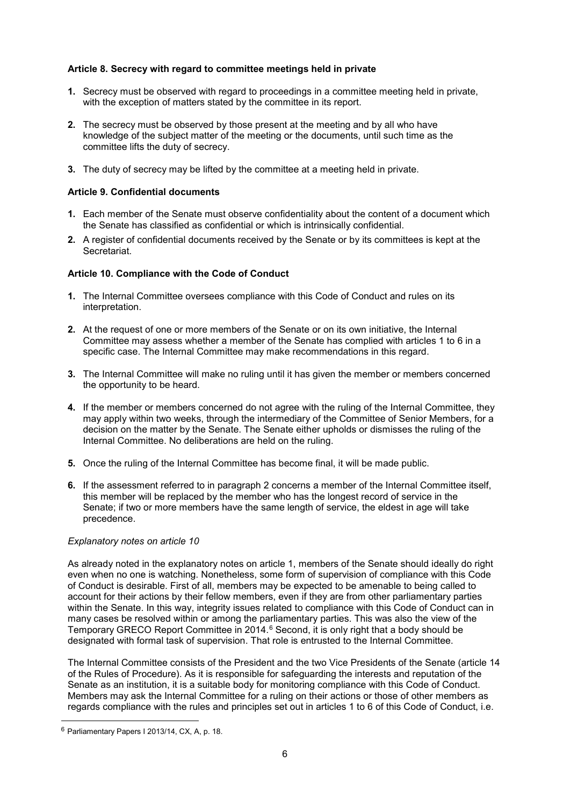## **Article 8. Secrecy with regard to committee meetings held in private**

- **1.** Secrecy must be observed with regard to proceedings in a committee meeting held in private, with the exception of matters stated by the committee in its report.
- **2.** The secrecy must be observed by those present at the meeting and by all who have knowledge of the subject matter of the meeting or the documents, until such time as the committee lifts the duty of secrecy.
- **3.** The duty of secrecy may be lifted by the committee at a meeting held in private.

## **Article 9. Confidential documents**

- **1.** Each member of the Senate must observe confidentiality about the content of a document which the Senate has classified as confidential or which is intrinsically confidential.
- **2.** A register of confidential documents received by the Senate or by its committees is kept at the **Secretariat**

#### **Article 10. Compliance with the Code of Conduct**

- **1.** The Internal Committee oversees compliance with this Code of Conduct and rules on its interpretation.
- **2.** At the request of one or more members of the Senate or on its own initiative, the Internal Committee may assess whether a member of the Senate has complied with articles 1 to 6 in a specific case. The Internal Committee may make recommendations in this regard.
- **3.** The Internal Committee will make no ruling until it has given the member or members concerned the opportunity to be heard.
- **4.** If the member or members concerned do not agree with the ruling of the Internal Committee, they may apply within two weeks, through the intermediary of the Committee of Senior Members, for a decision on the matter by the Senate. The Senate either upholds or dismisses the ruling of the Internal Committee. No deliberations are held on the ruling.
- **5.** Once the ruling of the Internal Committee has become final, it will be made public.
- **6.** If the assessment referred to in paragraph 2 concerns a member of the Internal Committee itself, this member will be replaced by the member who has the longest record of service in the Senate; if two or more members have the same length of service, the eldest in age will take precedence.

#### *Explanatory notes on article 10*

As already noted in the explanatory notes on article 1, members of the Senate should ideally do right even when no one is watching. Nonetheless, some form of supervision of compliance with this Code of Conduct is desirable. First of all, members may be expected to be amenable to being called to account for their actions by their fellow members, even if they are from other parliamentary parties within the Senate. In this way, integrity issues related to compliance with this Code of Conduct can in many cases be resolved within or among the parliamentary parties. This was also the view of the Temporary GRECO Report Committee in 2014.<sup>[6](#page-5-0)</sup> Second, it is only right that a body should be designated with formal task of supervision. That role is entrusted to the Internal Committee.

The Internal Committee consists of the President and the two Vice Presidents of the Senate (article 14 of the Rules of Procedure). As it is responsible for safeguarding the interests and reputation of the Senate as an institution, it is a suitable body for monitoring compliance with this Code of Conduct. Members may ask the Internal Committee for a ruling on their actions or those of other members as regards compliance with the rules and principles set out in articles 1 to 6 of this Code of Conduct, i.e.

<span id="page-5-0"></span> <sup>6</sup> Parliamentary Papers I 2013/14, CX, A, p. 18.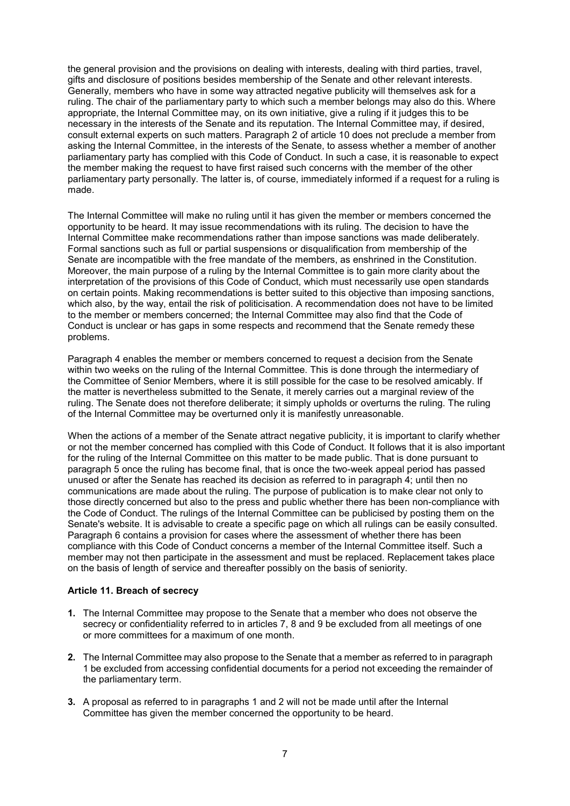the general provision and the provisions on dealing with interests, dealing with third parties, travel, gifts and disclosure of positions besides membership of the Senate and other relevant interests. Generally, members who have in some way attracted negative publicity will themselves ask for a ruling. The chair of the parliamentary party to which such a member belongs may also do this. Where appropriate, the Internal Committee may, on its own initiative, give a ruling if it judges this to be necessary in the interests of the Senate and its reputation. The Internal Committee may, if desired, consult external experts on such matters. Paragraph 2 of article 10 does not preclude a member from asking the Internal Committee, in the interests of the Senate, to assess whether a member of another parliamentary party has complied with this Code of Conduct. In such a case, it is reasonable to expect the member making the request to have first raised such concerns with the member of the other parliamentary party personally. The latter is, of course, immediately informed if a request for a ruling is made.

The Internal Committee will make no ruling until it has given the member or members concerned the opportunity to be heard. It may issue recommendations with its ruling. The decision to have the Internal Committee make recommendations rather than impose sanctions was made deliberately. Formal sanctions such as full or partial suspensions or disqualification from membership of the Senate are incompatible with the free mandate of the members, as enshrined in the Constitution. Moreover, the main purpose of a ruling by the Internal Committee is to gain more clarity about the interpretation of the provisions of this Code of Conduct, which must necessarily use open standards on certain points. Making recommendations is better suited to this objective than imposing sanctions, which also, by the way, entail the risk of politicisation. A recommendation does not have to be limited to the member or members concerned; the Internal Committee may also find that the Code of Conduct is unclear or has gaps in some respects and recommend that the Senate remedy these problems.

Paragraph 4 enables the member or members concerned to request a decision from the Senate within two weeks on the ruling of the Internal Committee. This is done through the intermediary of the Committee of Senior Members, where it is still possible for the case to be resolved amicably. If the matter is nevertheless submitted to the Senate, it merely carries out a marginal review of the ruling. The Senate does not therefore deliberate; it simply upholds or overturns the ruling. The ruling of the Internal Committee may be overturned only it is manifestly unreasonable.

When the actions of a member of the Senate attract negative publicity, it is important to clarify whether or not the member concerned has complied with this Code of Conduct. It follows that it is also important for the ruling of the Internal Committee on this matter to be made public. That is done pursuant to paragraph 5 once the ruling has become final, that is once the two-week appeal period has passed unused or after the Senate has reached its decision as referred to in paragraph 4; until then no communications are made about the ruling. The purpose of publication is to make clear not only to those directly concerned but also to the press and public whether there has been non-compliance with the Code of Conduct. The rulings of the Internal Committee can be publicised by posting them on the Senate's website. It is advisable to create a specific page on which all rulings can be easily consulted. Paragraph 6 contains a provision for cases where the assessment of whether there has been compliance with this Code of Conduct concerns a member of the Internal Committee itself. Such a member may not then participate in the assessment and must be replaced. Replacement takes place on the basis of length of service and thereafter possibly on the basis of seniority.

#### **Article 11. Breach of secrecy**

- **1.** The Internal Committee may propose to the Senate that a member who does not observe the secrecy or confidentiality referred to in articles 7, 8 and 9 be excluded from all meetings of one or more committees for a maximum of one month.
- **2.** The Internal Committee may also propose to the Senate that a member as referred to in paragraph 1 be excluded from accessing confidential documents for a period not exceeding the remainder of the parliamentary term.
- **3.** A proposal as referred to in paragraphs 1 and 2 will not be made until after the Internal Committee has given the member concerned the opportunity to be heard.